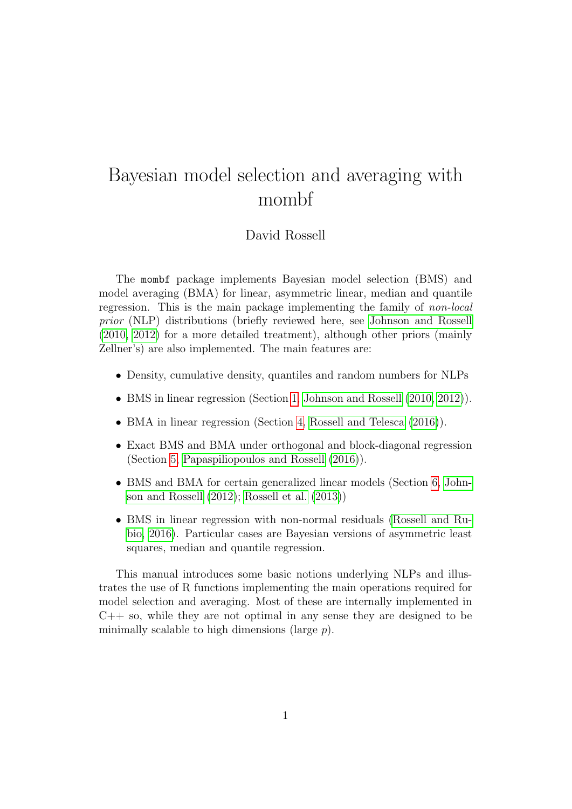# Bayesian model selection and averaging with mombf

#### David Rossell

The mombf package implements Bayesian model selection (BMS) and model averaging (BMA) for linear, asymmetric linear, median and quantile regression. This is the main package implementing the family of non-local prior (NLP) distributions (briefly reviewed here, see [Johnson and Rossell](#page-21-0) [\(2010,](#page-21-0) [2012\)](#page-21-1) for a more detailed treatment), although other priors (mainly Zellner's) are also implemented. The main features are:

- Density, cumulative density, quantiles and random numbers for NLPs
- BMS in linear regression (Section [1,](#page-1-0) Johnson and Rossell  $(2010, 2012)$  $(2010, 2012)$ ).
- BMA in linear regression (Section [4,](#page-12-0) Rossell and Telesca  $(2016)$ ).
- Exact BMS and BMA under orthogonal and block-diagonal regression (Section [5,](#page-14-0) [Papaspiliopoulos and Rossell \(2016\)](#page-22-1)).
- BMS and BMA for certain generalized linear models (Section [6,](#page-18-0) [John](#page-21-1)[son and Rossell \(2012\)](#page-21-1); [Rossell et al. \(2013\)](#page-22-2))
- BMS in linear regression with non-normal residuals [\(Rossell and Ru](#page-22-3)[bio, 2016\)](#page-22-3). Particular cases are Bayesian versions of asymmetric least squares, median and quantile regression.

This manual introduces some basic notions underlying NLPs and illustrates the use of R functions implementing the main operations required for model selection and averaging. Most of these are internally implemented in  $C++$  so, while they are not optimal in any sense they are designed to be minimally scalable to high dimensions (large  $p$ ).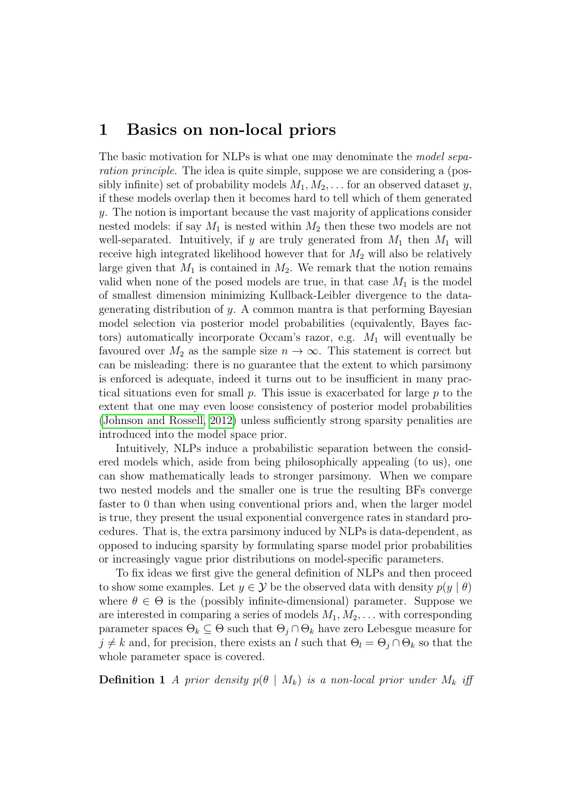#### <span id="page-1-0"></span>1 Basics on non-local priors

The basic motivation for NLPs is what one may denominate the *model sepa*ration principle. The idea is quite simple, suppose we are considering a (possibly infinite) set of probability models  $M_1, M_2, \ldots$  for an observed dataset y, if these models overlap then it becomes hard to tell which of them generated y. The notion is important because the vast majority of applications consider nested models: if say  $M_1$  is nested within  $M_2$  then these two models are not well-separated. Intuitively, if y are truly generated from  $M_1$  then  $M_1$  will receive high integrated likelihood however that for  $M_2$  will also be relatively large given that  $M_1$  is contained in  $M_2$ . We remark that the notion remains valid when none of the posed models are true, in that case  $M_1$  is the model of smallest dimension minimizing Kullback-Leibler divergence to the datagenerating distribution of y. A common mantra is that performing Bayesian model selection via posterior model probabilities (equivalently, Bayes factors) automatically incorporate Occam's razor, e.g.  $M_1$  will eventually be favoured over  $M_2$  as the sample size  $n \to \infty$ . This statement is correct but can be misleading: there is no guarantee that the extent to which parsimony is enforced is adequate, indeed it turns out to be insufficient in many practical situations even for small  $p$ . This issue is exacerbated for large  $p$  to the extent that one may even loose consistency of posterior model probabilities [\(Johnson and Rossell, 2012\)](#page-21-1) unless sufficiently strong sparsity penalities are introduced into the model space prior.

Intuitively, NLPs induce a probabilistic separation between the considered models which, aside from being philosophically appealing (to us), one can show mathematically leads to stronger parsimony. When we compare two nested models and the smaller one is true the resulting BFs converge faster to 0 than when using conventional priors and, when the larger model is true, they present the usual exponential convergence rates in standard procedures. That is, the extra parsimony induced by NLPs is data-dependent, as opposed to inducing sparsity by formulating sparse model prior probabilities or increasingly vague prior distributions on model-specific parameters.

To fix ideas we first give the general definition of NLPs and then proceed to show some examples. Let  $y \in \mathcal{Y}$  be the observed data with density  $p(y | \theta)$ where  $\theta \in \Theta$  is the (possibly infinite-dimensional) parameter. Suppose we are interested in comparing a series of models  $M_1, M_2, \ldots$  with corresponding parameter spaces  $\Theta_k \subseteq \Theta$  such that  $\Theta_i \cap \Theta_k$  have zero Lebesgue measure for  $j \neq k$  and, for precision, there exists an l such that  $\Theta_l = \Theta_j \cap \Theta_k$  so that the whole parameter space is covered.

<span id="page-1-1"></span>**Definition 1** A prior density  $p(\theta | M_k)$  is a non-local prior under  $M_k$  iff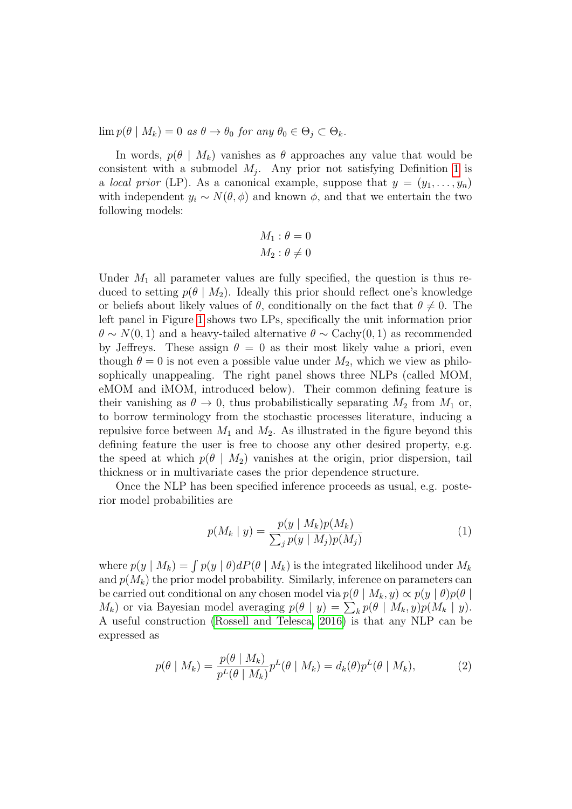$\lim p(\theta \mid M_k) = 0$  as  $\theta \to \theta_0$  for any  $\theta_0 \in \Theta_i \subset \Theta_k$ .

In words,  $p(\theta | M_k)$  vanishes as  $\theta$  approaches any value that would be consistent with a submodel  $M_j$ . Any prior not satisfying Definition [1](#page-1-1) is a *local prior* (LP). As a canonical example, suppose that  $y = (y_1, \ldots, y_n)$ with independent  $y_i \sim N(\theta, \phi)$  and known  $\phi$ , and that we entertain the two following models:

$$
M_1: \theta = 0
$$

$$
M_2: \theta \neq 0
$$

Under  $M_1$  all parameter values are fully specified, the question is thus reduced to setting  $p(\theta | M_2)$ . Ideally this prior should reflect one's knowledge or beliefs about likely values of  $\theta$ , conditionally on the fact that  $\theta \neq 0$ . The left panel in Figure [1](#page-6-0) shows two LPs, specifically the unit information prior  $\theta \sim N(0, 1)$  and a heavy-tailed alternative  $\theta \sim \text{Cachy}(0, 1)$  as recommended by Jeffreys. These assign  $\theta = 0$  as their most likely value a priori, even though  $\theta = 0$  is not even a possible value under  $M_2$ , which we view as philosophically unappealing. The right panel shows three NLPs (called MOM, eMOM and iMOM, introduced below). Their common defining feature is their vanishing as  $\theta \to 0$ , thus probabilistically separating  $M_2$  from  $M_1$  or, to borrow terminology from the stochastic processes literature, inducing a repulsive force between  $M_1$  and  $M_2$ . As illustrated in the figure beyond this defining feature the user is free to choose any other desired property, e.g. the speed at which  $p(\theta | M_2)$  vanishes at the origin, prior dispersion, tail thickness or in multivariate cases the prior dependence structure.

Once the NLP has been specified inference proceeds as usual, e.g. posterior model probabilities are

<span id="page-2-0"></span>
$$
p(M_k | y) = \frac{p(y | M_k)p(M_k)}{\sum_j p(y | M_j)p(M_j)}
$$
(1)

where  $p(y | M_k) = \int p(y | \theta) dP(\theta | M_k)$  is the integrated likelihood under  $M_k$ and  $p(M_k)$  the prior model probability. Similarly, inference on parameters can be carried out conditional on any chosen model via  $p(\theta | M_k, y) \propto p(y | \theta)p(\theta)$  $M_k$ ) or via Bayesian model averaging  $p(\theta | y) = \sum_k p(\theta | M_k, y)p(M_k | y)$ . A useful construction [\(Rossell and Telesca, 2016\)](#page-22-0) is that any NLP can be expressed as

$$
p(\theta \mid M_k) = \frac{p(\theta \mid M_k)}{p^L(\theta \mid M_k)} p^L(\theta \mid M_k) = d_k(\theta) p^L(\theta \mid M_k), \tag{2}
$$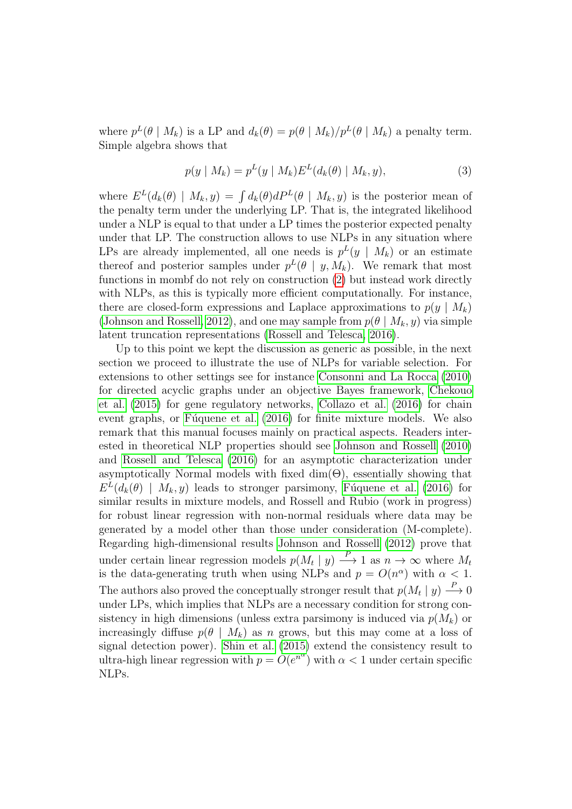where  $p^{L}(\theta | M_{k})$  is a LP and  $d_{k}(\theta) = p(\theta | M_{k})/p^{L}(\theta | M_{k})$  a penalty term. Simple algebra shows that

$$
p(y \mid M_k) = p^{L}(y \mid M_k) E^{L}(d_k(\theta) \mid M_k, y), \tag{3}
$$

where  $E^{L}(d_{k}(\theta) | M_{k}, y) = \int d_{k}(\theta) dP^{L}(\theta | M_{k}, y)$  is the posterior mean of the penalty term under the underlying LP. That is, the integrated likelihood under a NLP is equal to that under a LP times the posterior expected penalty under that LP. The construction allows to use NLPs in any situation where LPs are already implemented, all one needs is  $p^{L}(y \mid M_{k})$  or an estimate thereof and posterior samples under  $p^{L}(\theta | y, M_k)$ . We remark that most functions in mombf do not rely on construction [\(2\)](#page-2-0) but instead work directly with NLPs, as this is typically more efficient computationally. For instance, there are closed-form expressions and Laplace approximations to  $p(y \mid M_k)$ [\(Johnson and Rossell, 2012\)](#page-21-1), and one may sample from  $p(\theta | M_k, y)$  via simple latent truncation representations [\(Rossell and Telesca, 2016\)](#page-22-0).

Up to this point we kept the discussion as generic as possible, in the next section we proceed to illustrate the use of NLPs for variable selection. For extensions to other settings see for instance [Consonni and La Rocca \(2010\)](#page-21-2) for directed acyclic graphs under an objective Bayes framework, [Chekouo](#page-21-3) [et al. \(2015\)](#page-21-3) for gene regulatory networks, [Collazo et al. \(2016\)](#page-21-4) for chain event graphs, or Fúquene et al. (2016) for finite mixture models. We also remark that this manual focuses mainly on practical aspects. Readers interested in theoretical NLP properties should see [Johnson and Rossell \(2010\)](#page-21-0) and [Rossell and Telesca \(2016\)](#page-22-0) for an asymptotic characterization under asymptotically Normal models with fixed  $\dim(\Theta)$ , essentially showing that  $E<sup>L</sup>(d<sub>k</sub>(\theta) | M<sub>k</sub>, y)$  leads to stronger parsimony, Fúquene et al. (2016) for similar results in mixture models, and Rossell and Rubio (work in progress) for robust linear regression with non-normal residuals where data may be generated by a model other than those under consideration (M-complete). Regarding high-dimensional results [Johnson and Rossell \(2012\)](#page-21-1) prove that under certain linear regression models  $p(M_t | y) \longrightarrow 1$  as  $n \to \infty$  where  $M_t$ is the data-generating truth when using NLPs and  $p = O(n^{\alpha})$  with  $\alpha < 1$ . The authors also proved the conceptually stronger result that  $p(M_t | y) \stackrel{P}{\longrightarrow} 0$ under LPs, which implies that NLPs are a necessary condition for strong consistency in high dimensions (unless extra parsimony is induced via  $p(M_k)$  or increasingly diffuse  $p(\theta | M_k)$  as n grows, but this may come at a loss of signal detection power). [Shin et al. \(2015\)](#page-22-4) extend the consistency result to ultra-high linear regression with  $p = O(e^{n^{\alpha}})$  with  $\alpha < 1$  under certain specific NLPs.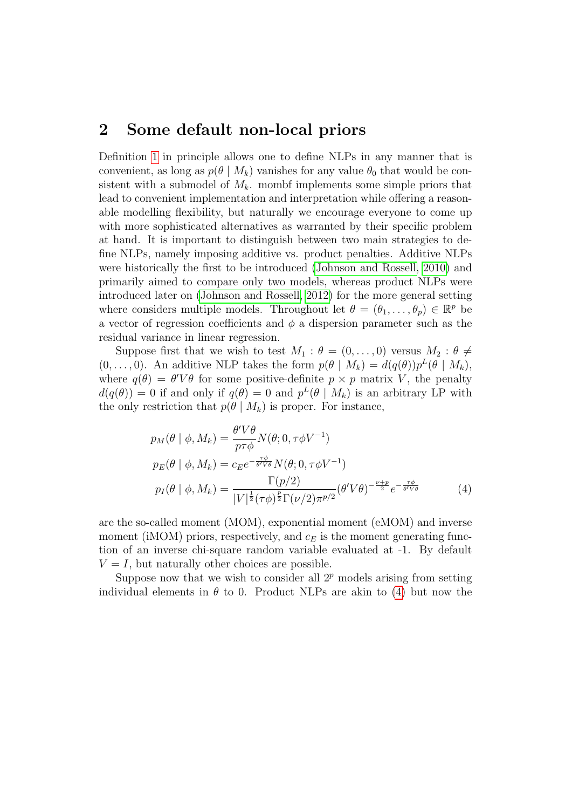#### 2 Some default non-local priors

Definition [1](#page-1-1) in principle allows one to define NLPs in any manner that is convenient, as long as  $p(\theta | M_k)$  vanishes for any value  $\theta_0$  that would be consistent with a submodel of  $M_k$ . mombf implements some simple priors that lead to convenient implementation and interpretation while offering a reasonable modelling flexibility, but naturally we encourage everyone to come up with more sophisticated alternatives as warranted by their specific problem at hand. It is important to distinguish between two main strategies to define NLPs, namely imposing additive vs. product penalties. Additive NLPs were historically the first to be introduced [\(Johnson and Rossell, 2010\)](#page-21-0) and primarily aimed to compare only two models, whereas product NLPs were introduced later on [\(Johnson and Rossell, 2012\)](#page-21-1) for the more general setting where considers multiple models. Throughout let  $\theta = (\theta_1, \ldots, \theta_p) \in \mathbb{R}^p$  be a vector of regression coefficients and  $\phi$  a dispersion parameter such as the residual variance in linear regression.

Suppose first that we wish to test  $M_1$ :  $\theta = (0, \ldots, 0)$  versus  $M_2$ :  $\theta \neq$  $(0, \ldots, 0)$ . An additive NLP takes the form  $p(\theta | M_k) = d(q(\theta))p^{L}(\theta | M_k)$ , where  $q(\theta) = \theta' V \theta$  for some positive-definite  $p \times p$  matrix V, the penalty  $d(q(\theta)) = 0$  if and only if  $q(\theta) = 0$  and  $p^L(\theta | M_k)$  is an arbitrary LP with the only restriction that  $p(\theta | M_k)$  is proper. For instance,

<span id="page-4-0"></span>
$$
p_M(\theta \mid \phi, M_k) = \frac{\theta' V \theta}{p \tau \phi} N(\theta; 0, \tau \phi V^{-1})
$$
  
\n
$$
p_E(\theta \mid \phi, M_k) = c_E e^{-\frac{\tau \phi}{\theta V \theta}} N(\theta; 0, \tau \phi V^{-1})
$$
  
\n
$$
p_I(\theta \mid \phi, M_k) = \frac{\Gamma(p/2)}{|V|^{\frac{1}{2}} (\tau \phi)^{\frac{p}{2}} \Gamma(\nu/2) \pi^{p/2}} (\theta' V \theta)^{-\frac{\nu + p}{2}} e^{-\frac{\tau \phi}{\theta V \theta}}
$$
(4)

are the so-called moment (MOM), exponential moment (eMOM) and inverse moment (iMOM) priors, respectively, and  $c_E$  is the moment generating function of an inverse chi-square random variable evaluated at -1. By default  $V = I$ , but naturally other choices are possible.

Suppose now that we wish to consider all  $2^p$  models arising from setting individual elements in  $\theta$  to 0. Product NLPs are akin to [\(4\)](#page-4-0) but now the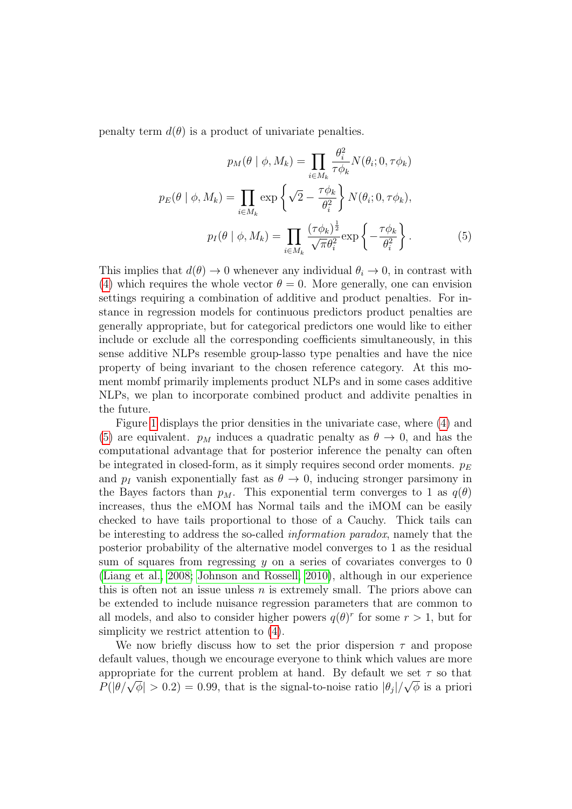penalty term  $d(\theta)$  is a product of univariate penalties.

<span id="page-5-0"></span>
$$
p_M(\theta \mid \phi, M_k) = \prod_{i \in M_k} \frac{\theta_i^2}{\tau \phi_k} N(\theta_i; 0, \tau \phi_k)
$$

$$
p_E(\theta \mid \phi, M_k) = \prod_{i \in M_k} \exp\left\{\sqrt{2} - \frac{\tau \phi_k}{\theta_i^2}\right\} N(\theta_i; 0, \tau \phi_k),
$$

$$
p_I(\theta \mid \phi, M_k) = \prod_{i \in M_k} \frac{(\tau \phi_k)^{\frac{1}{2}}}{\sqrt{\pi} \theta_i^2} \exp\left\{-\frac{\tau \phi_k}{\theta_i^2}\right\}.
$$
(5)

This implies that  $d(\theta) \to 0$  whenever any individual  $\theta_i \to 0$ , in contrast with [\(4\)](#page-4-0) which requires the whole vector  $\theta = 0$ . More generally, one can envision settings requiring a combination of additive and product penalties. For instance in regression models for continuous predictors product penalties are generally appropriate, but for categorical predictors one would like to either include or exclude all the corresponding coefficients simultaneously, in this sense additive NLPs resemble group-lasso type penalties and have the nice property of being invariant to the chosen reference category. At this moment mombf primarily implements product NLPs and in some cases additive NLPs, we plan to incorporate combined product and addivite penalties in the future.

Figure [1](#page-6-0) displays the prior densities in the univariate case, where [\(4\)](#page-4-0) and [\(5\)](#page-5-0) are equivalent.  $p_M$  induces a quadratic penalty as  $\theta \to 0$ , and has the computational advantage that for posterior inference the penalty can often be integrated in closed-form, as it simply requires second order moments.  $p_E$ and  $p_I$  vanish exponentially fast as  $\theta \to 0$ , inducing stronger parsimony in the Bayes factors than  $p_M$ . This exponential term converges to 1 as  $q(\theta)$ increases, thus the eMOM has Normal tails and the iMOM can be easily checked to have tails proportional to those of a Cauchy. Thick tails can be interesting to address the so-called information paradox, namely that the posterior probability of the alternative model converges to 1 as the residual sum of squares from regressing  $y$  on a series of covariates converges to 0 [\(Liang et al., 2008;](#page-21-6) [Johnson and Rossell, 2010\)](#page-21-0), although in our experience this is often not an issue unless  $n$  is extremely small. The priors above can be extended to include nuisance regression parameters that are common to all models, and also to consider higher powers  $q(\theta)^r$  for some  $r > 1$ , but for simplicity we restrict attention to [\(4\)](#page-4-0).

We now briefly discuss how to set the prior dispersion  $\tau$  and propose default values, though we encourage everyone to think which values are more appropriate for the current problem at hand. By default we set  $\tau$  so that appropriate for the current problem at hand. By default we set 7 so that  $P(|\theta/\sqrt{\phi}| > 0.2) = 0.99$ , that is the signal-to-noise ratio  $|\theta_j|/\sqrt{\phi}$  is a priori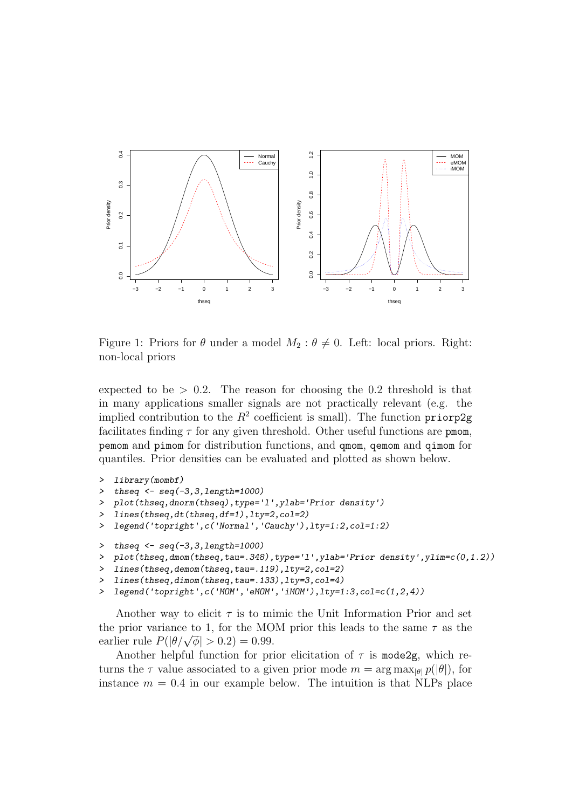

<span id="page-6-0"></span>Figure 1: Priors for  $\theta$  under a model  $M_2$ :  $\theta \neq 0$ . Left: local priors. Right: non-local priors

expected to be  $> 0.2$ . The reason for choosing the 0.2 threshold is that in many applications smaller signals are not practically relevant (e.g. the implied contribution to the  $R^2$  coefficient is small). The function priorp2g facilitates finding  $\tau$  for any given threshold. Other useful functions are pmom, pemom and pimom for distribution functions, and qmom, qemom and qimom for quantiles. Prior densities can be evaluated and plotted as shown below.

```
> library(mombf)
\frac{1}{2} thseq \leftarrow seq(-3,3,1ength=1000)
> plot(thseq,dnorm(thseq),type='l',ylab='Prior density')
> lines(thseq,dt(thseq,df=1),lty=2,col=2)
> legend('topright',c('Normal','Cauchy'),lty=1:2,col=1:2)
\gt thseq \lt- seq(-3,3, length=1000)
> plot(thseq,dmom(thseq,tau=.348),type='l',ylab='Prior density',ylim=c(0,1.2))
> lines(thseq,demom(thseq,tau=.119),lty=2,col=2)
> lines(thseq,dimom(thseq,tau=.133),lty=3,col=4)
> legend('topright',c('MOM','eMOM','iMOM'),lty=1:3,col=c(1,2,4))
```
Another way to elicit  $\tau$  is to mimic the Unit Information Prior and set the prior variance to 1, for the MOM prior this leads to the same  $\tau$  as the the prior variance to 1, for the MO<br>earlier rule  $P(|\theta/\sqrt{\phi}| > 0.2) = 0.99$ .

Another helpful function for prior elicitation of  $\tau$  is mode2g, which returns the  $\tau$  value associated to a given prior mode  $m = \arg \max_{|\theta|} p(|\theta|)$ , for instance  $m = 0.4$  in our example below. The intuition is that NLPs place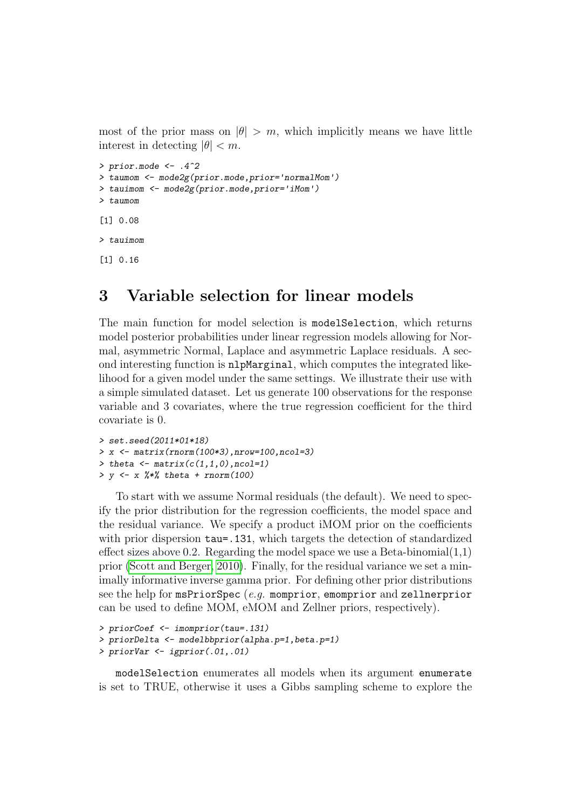most of the prior mass on  $|\theta| > m$ , which implicitly means we have little interest in detecting  $|\theta| < m$ .

```
> prior.mode \leq -0.4^2> taumom <- mode2g(prior.mode,prior='normalMom')
> tauimom <- mode2g(prior.mode,prior='iMom')
> taumom
[1] 0.08
> tauimom
[1] 0.16
```
### 3 Variable selection for linear models

The main function for model selection is modelSelection, which returns model posterior probabilities under linear regression models allowing for Normal, asymmetric Normal, Laplace and asymmetric Laplace residuals. A second interesting function is nlpMarginal, which computes the integrated likelihood for a given model under the same settings. We illustrate their use with a simple simulated dataset. Let us generate 100 observations for the response variable and 3 covariates, where the true regression coefficient for the third covariate is 0.

```
> set.seed(2011*01*18)
> x <- matrix(rnorm(100*3),nrow=100,ncol=3)
> theta \leftarrow matrix(c(1,1,0),ncol=1)
> y \le x \frac{9*}{6} theta + rnorm(100)
```
To start with we assume Normal residuals (the default). We need to specify the prior distribution for the regression coefficients, the model space and the residual variance. We specify a product iMOM prior on the coefficients with prior dispersion  $tau=131$ , which targets the detection of standardized effect sizes above 0.2. Regarding the model space we use a Beta-binomial  $(1,1)$ prior [\(Scott and Berger, 2010\)](#page-22-5). Finally, for the residual variance we set a minimally informative inverse gamma prior. For defining other prior distributions see the help for msPriorSpec  $(e,q)$  momprior, emomprior and zellnerprior can be used to define MOM, eMOM and Zellner priors, respectively).

```
> priorCoef <- imomprior(tau=.131)
> priorDelta <- modelbbprior(alpha.p=1,beta.p=1)
> priorVar <- igprior(.01,.01)
```
modelSelection enumerates all models when its argument enumerate is set to TRUE, otherwise it uses a Gibbs sampling scheme to explore the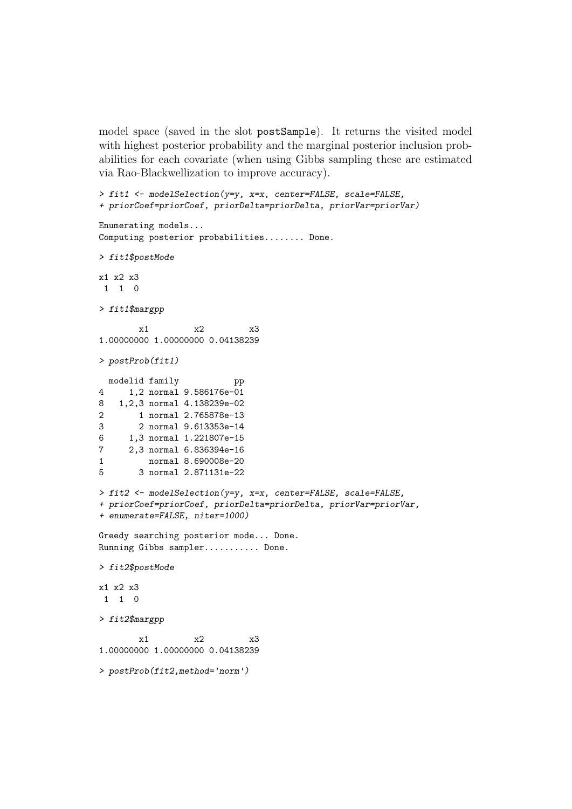model space (saved in the slot postSample). It returns the visited model with highest posterior probability and the marginal posterior inclusion probabilities for each covariate (when using Gibbs sampling these are estimated via Rao-Blackwellization to improve accuracy).

```
> fit1 <- modelSelection(y=y, x=x, center=FALSE, scale=FALSE,
+ priorCoef=priorCoef, priorDelta=priorDelta, priorVar=priorVar)
Enumerating models...
Computing posterior probabilities........ Done.
> fit1$postMode
x1 x2 x3
1 1 0
> fit1$margpp
       x1 x2 x3
1.00000000 1.00000000 0.04138239
> postProb(fit1)
 modelid family pp
4 1,2 normal 9.586176e-01
8 1,2,3 normal 4.138239e-02
2 1 normal 2.765878e-13
3 2 normal 9.613353e-14
6 1,3 normal 1.221807e-15
7 2,3 normal 6.836394e-16
1 normal 8.690008e-20
5 3 normal 2.871131e-22
> fit2 <- modelSelection(y=y, x=x, center=FALSE, scale=FALSE,
+ priorCoef=priorCoef, priorDelta=priorDelta, priorVar=priorVar,
+ enumerate=FALSE, niter=1000)
Greedy searching posterior mode... Done.
Running Gibbs sampler........... Done.
> fit2$postMode
x1 x2 x3
1 1 0
> fit2$margpp
       x1 x2 x3
1.00000000 1.00000000 0.04138239
> postProb(fit2,method='norm')
```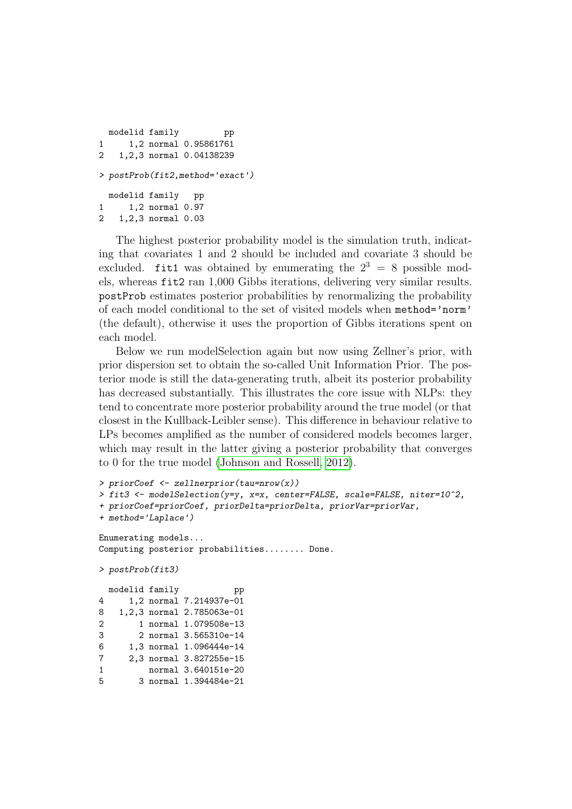```
modelid family pp
1 1,2 normal 0.95861761
2 1,2,3 normal 0.04138239
> postProb(fit2,method='exact')
 modelid family pp
1 1,2 normal 0.97
2 1,2,3 normal 0.03
```
The highest posterior probability model is the simulation truth, indicating that covariates 1 and 2 should be included and covariate 3 should be excluded. fit1 was obtained by enumerating the  $2^3 = 8$  possible models, whereas fit2 ran 1,000 Gibbs iterations, delivering very similar results. postProb estimates posterior probabilities by renormalizing the probability of each model conditional to the set of visited models when method='norm' (the default), otherwise it uses the proportion of Gibbs iterations spent on each model.

Below we run modelSelection again but now using Zellner's prior, with prior dispersion set to obtain the so-called Unit Information Prior. The posterior mode is still the data-generating truth, albeit its posterior probability has decreased substantially. This illustrates the core issue with NLPs: they tend to concentrate more posterior probability around the true model (or that closest in the Kullback-Leibler sense). This difference in behaviour relative to LPs becomes amplified as the number of considered models becomes larger, which may result in the latter giving a posterior probability that converges to 0 for the true model [\(Johnson and Rossell, 2012\)](#page-21-1).

```
> priorCoef <- zellnerprior(tau=nrow(x))
> fit3 <- modelSelection(y=y, x=x, center=FALSE, scale=FALSE, niter=10^2,
+ priorCoef=priorCoef, priorDelta=priorDelta, priorVar=priorVar,
+ method='Laplace')
Enumerating models...
Computing posterior probabilities........ Done.
> postProb(fit3)
 modelid family bp
4 1,2 normal 7.214937e-01
8 1,2,3 normal 2.785063e-01
2 1 normal 1.079508e-13
3 2 normal 3.565310e-14
6 1,3 normal 1.096444e-14
7 2,3 normal 3.827255e-15
1 normal 3.640151e-20
5 3 normal 1.394484e-21
```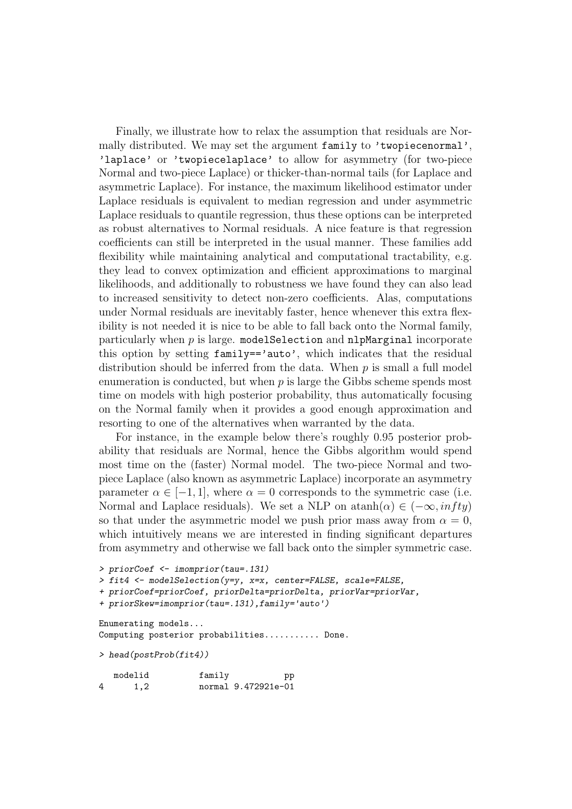Finally, we illustrate how to relax the assumption that residuals are Normally distributed. We may set the argument family to 'twopiecenormal', 'laplace' or 'twopiecelaplace' to allow for asymmetry (for two-piece Normal and two-piece Laplace) or thicker-than-normal tails (for Laplace and asymmetric Laplace). For instance, the maximum likelihood estimator under Laplace residuals is equivalent to median regression and under asymmetric Laplace residuals to quantile regression, thus these options can be interpreted as robust alternatives to Normal residuals. A nice feature is that regression coefficients can still be interpreted in the usual manner. These families add flexibility while maintaining analytical and computational tractability, e.g. they lead to convex optimization and efficient approximations to marginal likelihoods, and additionally to robustness we have found they can also lead to increased sensitivity to detect non-zero coefficients. Alas, computations under Normal residuals are inevitably faster, hence whenever this extra flexibility is not needed it is nice to be able to fall back onto the Normal family, particularly when  $p$  is large. model Selection and nlpMarginal incorporate this option by setting family=='auto', which indicates that the residual distribution should be inferred from the data. When  $p$  is small a full model enumeration is conducted, but when  $p$  is large the Gibbs scheme spends most time on models with high posterior probability, thus automatically focusing on the Normal family when it provides a good enough approximation and resorting to one of the alternatives when warranted by the data.

For instance, in the example below there's roughly 0.95 posterior probability that residuals are Normal, hence the Gibbs algorithm would spend most time on the (faster) Normal model. The two-piece Normal and twopiece Laplace (also known as asymmetric Laplace) incorporate an asymmetry parameter  $\alpha \in [-1, 1]$ , where  $\alpha = 0$  corresponds to the symmetric case (i.e. Normal and Laplace residuals). We set a NLP on atanh $(\alpha) \in (-\infty, \inf ty)$ so that under the asymmetric model we push prior mass away from  $\alpha = 0$ , which intuitively means we are interested in finding significant departures from asymmetry and otherwise we fall back onto the simpler symmetric case.

```
> priorCoef <- imomprior(tau=.131)
> fit4 <- modelSelection(y=y, x=x, center=FALSE, scale=FALSE,
+ priorCoef=priorCoef, priorDelta=priorDelta, priorVar=priorVar,
+ priorSkew=imomprior(tau=.131),family='auto')
Enumerating models...
```
Computing posterior probabilities........... Done.

```
> head(postProb(fit4))
```

|   | modelid | family | pp                  |
|---|---------|--------|---------------------|
| 4 | 1,2     |        | normal 9.472921e-01 |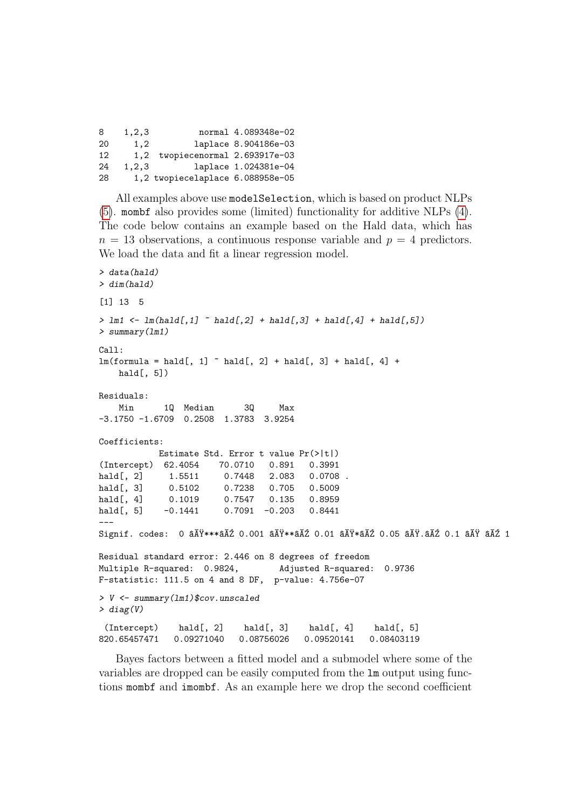8 1,2,3 normal 4.089348e-02 20 1,2 laplace 8.904186e-03 12 1,2 twopiecenormal 2.693917e-03 24 1,2,3 laplace 1.024381e-04 28 1,2 twopiecelaplace 6.088958e-05

All examples above use modelSelection, which is based on product NLPs [\(5\)](#page-5-0). mombf also provides some (limited) functionality for additive NLPs [\(4\)](#page-4-0). The code below contains an example based on the Hald data, which has  $n = 13$  observations, a continuous response variable and  $p = 4$  predictors. We load the data and fit a linear regression model.

```
> data(hald)
> dim(hald)[1] 13 5
> \text{lm1} \leftarrow \text{lm(hald[,1]} \sim hald[,2] + hald[,3] + hald[,4] + hald[,5])
> summary(lm1)
Call:
lm(formula = half, 1] \sim hald[, 2] + hald[, 3] + hald[, 4] +
    hald[, 5])
Residuals:
    Min 1Q Median 3Q Max
-3.1750 -1.6709 0.2508 1.3783 3.9254
Coefficients:
            Estimate Std. Error t value Pr(>|t|)
(Intercept) 62.4054 70.0710 0.891 0.3991
hald[, 2] 1.5511 0.7448 2.083 0.0708.
hald[, 3] 0.5102 0.7238 0.705 0.5009
hald[, 4] 0.1019 0.7547 0.135 0.8959
hald[, 5] -0.1441 0.7091 -0.203 0.8441
---
Signif. codes: 0 \tilde{a}AŸ***\tilde{a}A\tilde{z} 0.001 \tilde{a}A\tilde{y} atı\tilde{a} ativ\tilde{a}A\tilde{z} 0.05 \tilde{a}A\tilde{y}.\tilde{a}A\tilde{z} 0.1 \tilde{a}A\tilde{y} \tilde{a}A\tilde{z} 1
Residual standard error: 2.446 on 8 degrees of freedom
Multiple R-squared: 0.9824, Adjusted R-squared: 0.9736
F-statistic: 111.5 on 4 and 8 DF, p-value: 4.756e-07
> V <- summary(lm1)$cov.unscaled
> diag(V)
 (Intercept) hald[, 2] hald[, 3] hald[, 4] hald[, 5]
820.65457471 0.09271040 0.08756026 0.09520141 0.08403119
```
Bayes factors between a fitted model and a submodel where some of the variables are dropped can be easily computed from the lm output using functions mombf and imombf. As an example here we drop the second coefficient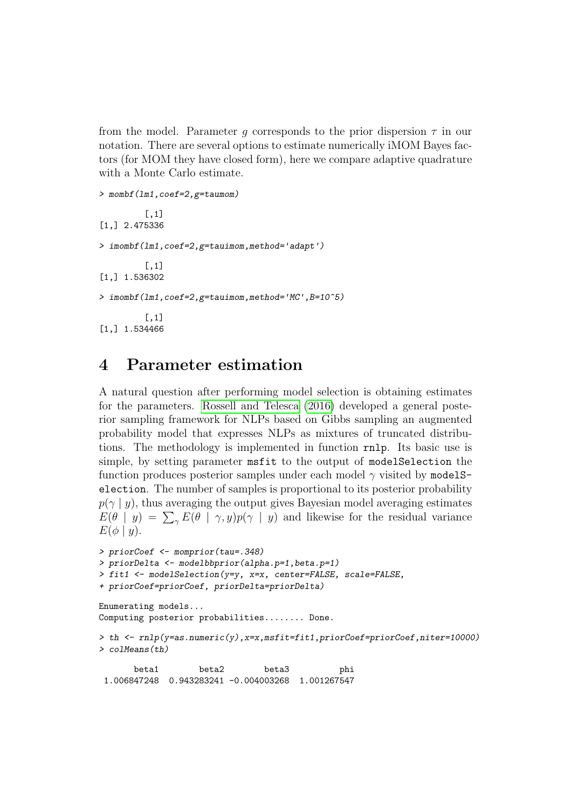from the model. Parameter q corresponds to the prior dispersion  $\tau$  in our notation. There are several options to estimate numerically iMOM Bayes factors (for MOM they have closed form), here we compare adaptive quadrature with a Monte Carlo estimate.

```
> mombf(lm1,coef=2,g=taumom)
         \lceil,1]
[1,] 2.475336
> imombf(lm1,coef=2,g=tauimom,method='adapt')
         [,1][1,] 1.536302
> imombf(lm1,coef=2,g=tauimom,method='MC',B=10^5)
         [,1]
[1,] 1.534466
```
## <span id="page-12-0"></span>4 Parameter estimation

A natural question after performing model selection is obtaining estimates for the parameters. [Rossell and Telesca \(2016\)](#page-22-0) developed a general posterior sampling framework for NLPs based on Gibbs sampling an augmented probability model that expresses NLPs as mixtures of truncated distributions. The methodology is implemented in function rnlp. Its basic use is simple, by setting parameter msfit to the output of modelSelection the function produces posterior samples under each model  $\gamma$  visited by model Selection. The number of samples is proportional to its posterior probability  $p(\gamma | y)$ , thus averaging the output gives Bayesian model averaging estimates  $E(\theta | y) = \sum_{\gamma} E(\theta | \gamma, y) p(\gamma | y)$  and likewise for the residual variance  $E(\phi | y)$ .

```
> priorCoef <- momprior(tau=.348)
> priorDelta <- modelbbprior(alpha.p=1,beta.p=1)
> fit1 <- modelSelection(y=y, x=x, center=FALSE, scale=FALSE,
+ priorCoef=priorCoef, priorDelta=priorDelta)
Enumerating models...
Computing posterior probabilities........ Done.
> th \leftarrow r n l p (y = as.numeric(y), x = x, mstit=fit1, priorCoef= priorCoef, niter=10000)> colMeans(th)
       beta1 beta2 beta3 phi
 1.006847248 0.943283241 -0.004003268 1.001267547
```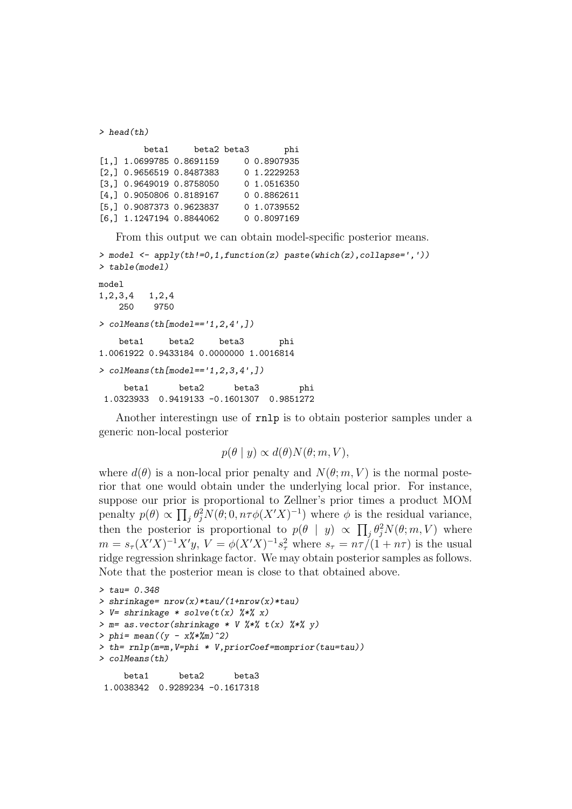```
> head(th)
       beta1 beta2 beta3 phi
[1,] 1.0699785 0.8691159 0 0.8907935
[2,] 0.9656519 0.8487383 0 1.2229253
[3,] 0.9649019 0.8758050 0 1.0516350
[4,] 0.9050806 0.8189167 0 0.8862611
[5,] 0.9087373 0.9623837 0 1.0739552
[6,] 1.1247194 0.8844062 0 0.8097169
```
From this output we can obtain model-specific posterior means.

```
> model <- apply(th!=0,1,function(z) paste(which(z),collapse=','))
> table(model)
model
1,2,3,4 1,2,4
   250 9750
> colMeans(th[model=='1,2,4',])
   beta1 beta2 beta3 phi
1.0061922 0.9433184 0.0000000 1.0016814
> colMeans(th[model =='1, 2, 3, 4', J)
    beta1 beta2 beta3 phi
 1.0323933 0.9419133 -0.1601307 0.9851272
```
Another interestingn use of rnlp is to obtain posterior samples under a generic non-local posterior

$$
p(\theta \mid y) \propto d(\theta) N(\theta; m, V),
$$

where  $d(\theta)$  is a non-local prior penalty and  $N(\theta; m, V)$  is the normal posterior that one would obtain under the underlying local prior. For instance, suppose our prior is proportional to Zellner's prior times a product MOM penalty  $p(\theta) \propto \prod_j \theta_j^2 N(\theta; 0, n\tau \phi(X'X)^{-1})$  where  $\phi$  is the residual variance, then the posterior is proportional to  $p(\theta | y) \propto \prod_j \theta_j^2 N(\theta; m, V)$  where  $m = s_{\tau}(X'X)^{-1}X'y, V = \phi(X'X)^{-1}s_{\tau}^{2}$  where  $s_{\tau} = n\tau/(1+n\tau)$  is the usual ridge regression shrinkage factor. We may obtain posterior samples as follows. Note that the posterior mean is close to that obtained above.

```
> tau= 0.348
> shrinkage= nrow(x)*tau/(1+nrow(x)*tau)
> V= shrinkage * solve(t(x) %*% x)
> m= as. vector(shrinkage * V % * % t(x) % * % y(x)> phi= mean((y - x\frac{\cancel{0}}{\cancel{0}}\frac{\cancel{0}}{m})^2)
> th= rnlp(m=m,V=phi * V,priorCoef=momprior(tau=tau))
> colMeans(th)
     beta1 beta2 beta3
 1.0038342 0.9289234 -0.1617318
```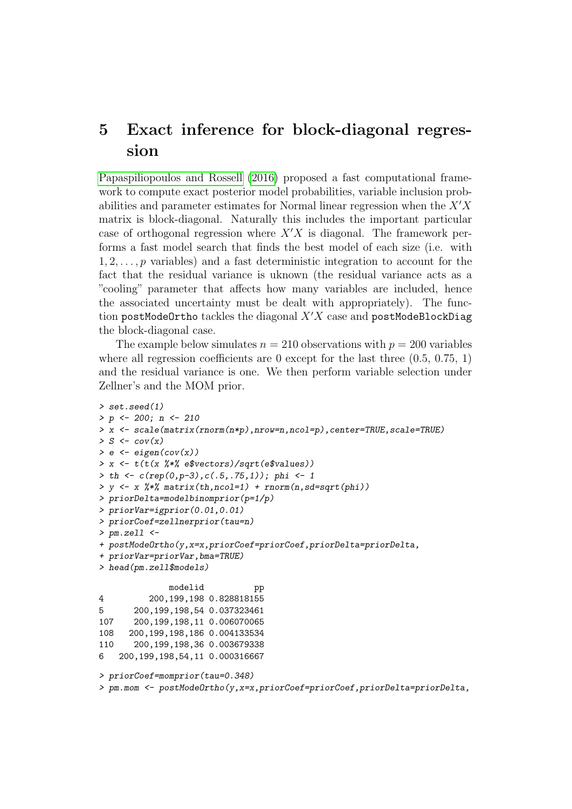# <span id="page-14-0"></span>5 Exact inference for block-diagonal regression

[Papaspiliopoulos and Rossell \(2016\)](#page-22-1) proposed a fast computational framework to compute exact posterior model probabilities, variable inclusion probabilities and parameter estimates for Normal linear regression when the  $X'X$ matrix is block-diagonal. Naturally this includes the important particular case of orthogonal regression where  $X'X$  is diagonal. The framework performs a fast model search that finds the best model of each size (i.e. with  $1, 2, \ldots, p$  variables) and a fast deterministic integration to account for the fact that the residual variance is uknown (the residual variance acts as a "cooling" parameter that affects how many variables are included, hence the associated uncertainty must be dealt with appropriately). The function postModeOrtho tackles the diagonal  $X'X$  case and postModeBlockDiag the block-diagonal case.

The example below simulates  $n = 210$  observations with  $p = 200$  variables where all regression coefficients are 0 except for the last three  $(0.5, 0.75, 1)$ and the residual variance is one. We then perform variable selection under Zellner's and the MOM prior.

```
> set.seed(1)
> p <- 200; n <- 210
> x \le - scale(matrix(rnorm(n*p), nrow=n, ncol=p), center=TRUE, scale=TRUE)
> S \leftarrow cov(x)> e \leftarrow eigenv(cov(x))> x \leftarrow t(t(x \frac{1}{2}) t + \frac{1}{2} \epsilon) e$vectors) / sqrt(e$values))
> th <- c(rep(0,p-3),c(.5,.75,1)); phi <- 1
> y \leq x %*% matrix(th,ncol=1) + rnorm(n,sd=sqrt(phi))
> priorDelta=modelbinomprior(p=1/p)
> priorVar=igprior(0.01,0.01)
> priorCoef=zellnerprior(tau=n)
> pm.zell <-+ postModeOrtho(y,x=x,priorCoef=priorCoef,priorDelta=priorDelta,
+ priorVar=priorVar,bma=TRUE)
> head(pm.zell$models)
              modelid pp
4 200,199,198 0.828818155
5 200,199,198,54 0.037323461
107 200,199,198,11 0.006070065
108 200,199,198,186 0.004133534
110 200,199,198,36 0.003679338
6 200,199,198,54,11 0.000316667
> priorCoef=momprior(tau=0.348)
> pm.mom <- postModeOrtho(y,x=x,priorCoef=priorCoef,priorDelta=priorDelta,
```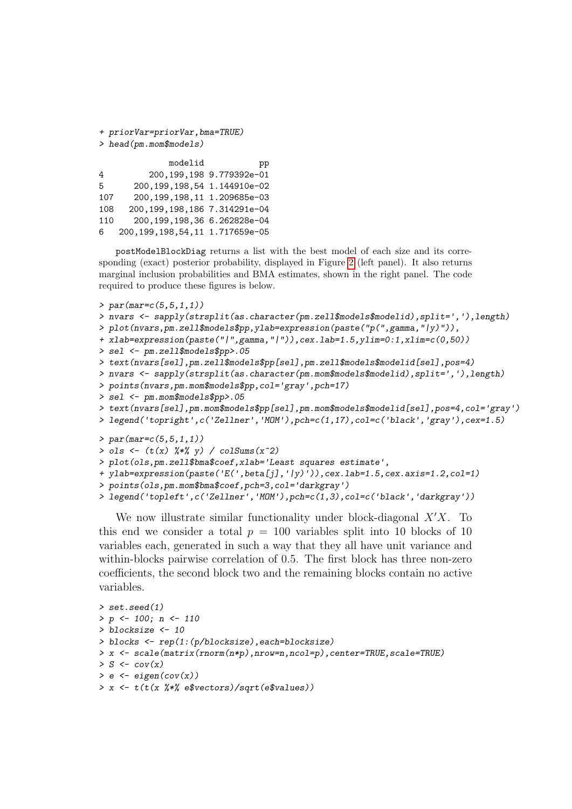```
+ priorVar=priorVar,bma=TRUE)
> head(pm.mom$models)
```

|     | modelid                            | pp                         |
|-----|------------------------------------|----------------------------|
| 4   |                                    | 200, 199, 198 9.779392e-01 |
| 5.  | 200, 199, 198, 54 1.144910e-02     |                            |
| 107 | 200, 199, 198, 11 1.209685e-03     |                            |
| 108 | 200, 199, 198, 186 7.314291e-04    |                            |
| 110 | 200,199,198,36 6.262828e-04        |                            |
| 6.  | 200, 199, 198, 54, 11 1.717659e-05 |                            |

postModelBlockDiag returns a list with the best model of each size and its corresponding (exact) posterior probability, displayed in Figure [2](#page-16-0) (left panel). It also returns marginal inclusion probabilities and BMA estimates, shown in the right panel. The code required to produce these figures is below.

```
> par(max=c(5,5,1,1))> nvars <- sapply(strsplit(as.character(pm.zell$models$modelid),split=','),length)
> plot(nvars,pm.zell$models$pp,ylab=expression(paste("p(",gamma,"|y)")),
+ xlab=expression(paste("|",gamma,"|")),cex.lab=1.5,ylim=0:1,xlim=c(0,50))
> sel <- pm.zell$models$pp>.05
> text(nvars[sel],pm.zell$models$pp[sel],pm.zell$models$modelid[sel],pos=4)
> nvars <- sapply(strsplit(as.character(pm.mom$models$modelid),split=','),length)
> points(nvars,pm.mom$models$pp,col='gray',pch=17)
> sel <- pm.mom$models$pp>.05
> text(nvars[sel],pm.mom$models$pp[sel],pm.mom$models$modelid[sel],pos=4,col='gray')
> legend('topright',c('Zellner','MOM'),pch=c(1,17),col=c('black','gray'),cex=1.5)
> par(max=c(5,5,1,1))> ols \leftarrow (t(x) \frac{9*}{8} y) / colSums(x^2)
> plot(ols,pm.zell$bma$coef,xlab='Least squares estimate',
+ ylab=expression(paste('E(',beta[j],'|y)')),cex.lab=1.5,cex.axis=1.2,col=1)
> points(ols,pm.mom$bma$coef,pch=3,col='darkgray')
> legend('topleft',c('Zellner','MOM'),pch=c(1,3),col=c('black','darkgray'))
```
We now illustrate similar functionality under block-diagonal  $X'X$ . To this end we consider a total  $p = 100$  variables split into 10 blocks of 10 variables each, generated in such a way that they all have unit variance and within-blocks pairwise correlation of 0.5. The first block has three non-zero coefficients, the second block two and the remaining blocks contain no active variables.

```
> set.seed(1)
> p \leftarrow 100; n \leftarrow 110> blocksize <- 10
> blocks <- rep(1:(p/blocksize),each=blocksize)
> x <- scale(matrix(rnorm(n*p),nrow=n,ncol=p),center=TRUE,scale=TRUE)
> S \leftarrow cov(x)> e \leftarrow eigenv(cov(x))> x <- t(t(x %*% e$vectors)/sqrt(e$values))
```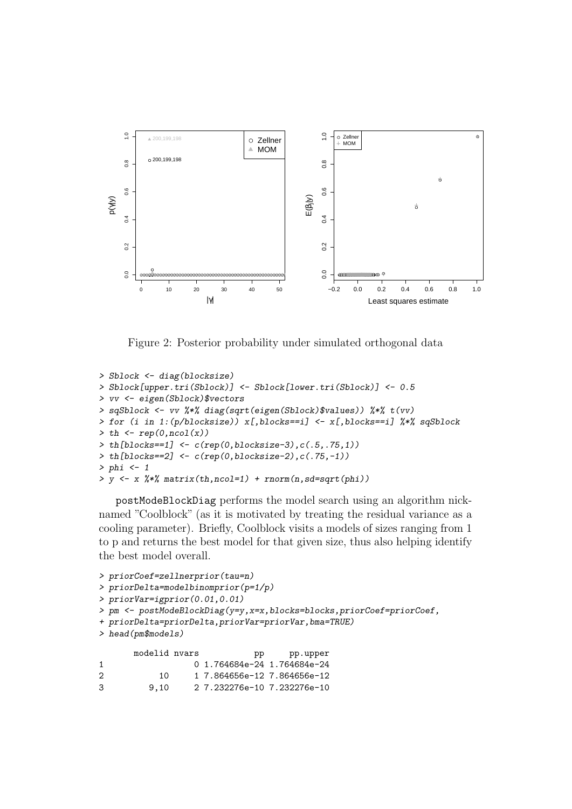

<span id="page-16-0"></span>Figure 2: Posterior probability under simulated orthogonal data

```
> Sblock <- diag(blocksize)
> Sblock[upper.tri(Sblock)] <- Sblock[lower.tri(Sblock)] <- 0.5
> vv <- eigen(Sblock)$vectors
> sqSblock <- vv %*% diag(sqrt(eigen(Sblock)$values)) %*% t(vv)
> for (i in 1:(p/blocksize)) x[,blocks==i] <- x[,blocks==i] %*% sqSblock
> th < - rep(0, ncol(x))> th[blocks == 1] < -c(rep(0,blocksize - 3), c(.5, .75, 1))> th[blocks == 2] < -c(rep(0,blocksize - 2), c(.75, -1))> phi < - 1> y \leftarrow x %*% matrix(th,ncol=1) + rnorm(n,sd=sqrt(phi))
```
postModeBlockDiag performs the model search using an algorithm nicknamed "Coolblock" (as it is motivated by treating the residual variance as a cooling parameter). Briefly, Coolblock visits a models of sizes ranging from 1 to p and returns the best model for that given size, thus also helping identify the best model overall.

```
> priorCoef=zellnerprior(tau=n)
> priorDelta=modelbinomprior(p=1/p)
> priorVar=igprior(0.01,0.01)
> pm <- postModeBlockDiag(y=y,x=x,blocks=blocks,priorCoef=priorCoef,
+ priorDelta=priorDelta,priorVar=priorVar,bma=TRUE)
> head(pm$models)
      modelid nvars bp pp.upper
1 0 1.764684e-24 1.764684e-24
```

```
2 10 1 7.864656e-12 7.864656e-12
3 9,10 2 7.232276e-10 7.232276e-10
```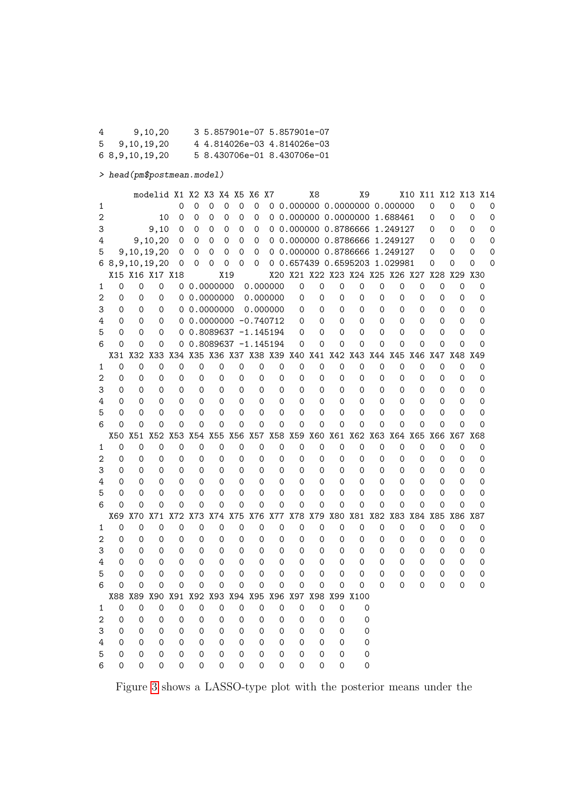4 9,10,20 3 5.857901e-07 5.857901e-07 5 9,10,19,20 4 4.814026e-03 4.814026e-03 6 8,9,10,19,20 5 8.430706e-01 8.430706e-01

> head(pm\$postmean.model)

|                |             |            | modelid X1 X2 X3 X4 X5 |     |             |                         |                  | X6 X7    |             |                             | Х8          |     |          | Χ9                                                          |             |             |          |             |             |             | X10 X11 X12 X13 X14 |   |
|----------------|-------------|------------|------------------------|-----|-------------|-------------------------|------------------|----------|-------------|-----------------------------|-------------|-----|----------|-------------------------------------------------------------|-------------|-------------|----------|-------------|-------------|-------------|---------------------|---|
| 1              |             |            |                        | 0   | $\mathbf 0$ | 0                       | 0<br>$\mathbf 0$ | 0        |             |                             |             |     |          | 0 0.000000 0.0000000 0.000000                               |             |             |          | $\mathbf 0$ | $\mathbf 0$ |             | 0                   | 0 |
| $\overline{2}$ |             |            | 10                     | 0   | 0           | 0                       | 0<br>0           | 0        |             |                             |             |     |          | 0 0.000000 0.0000000 1.688461                               |             |             |          | $\Omega$    | 0           |             | 0                   | 0 |
| 3              |             |            | 9,10                   | 0   | 0           | 0                       | 0<br>$\Omega$    | 0        |             |                             |             |     |          | 0 0.000000 0.8786666 1.249127                               |             |             |          | $\Omega$    | 0           |             | 0                   | 0 |
| 4              |             |            | 9,10,20                | 0   | 0           | 0                       | 0<br>$\Omega$    | 0        |             |                             |             |     |          | 0 0.000000 0.8786666 1.249127                               |             |             |          | $\Omega$    | 0           |             | 0                   | 0 |
| 5              |             |            | 9,10,19,20             | 0   | $\Omega$    | 0                       | 0<br>$\Omega$    | 0        |             |                             |             |     |          | 0 0.000000 0.8786666 1.249127                               |             |             |          | $\Omega$    | 0           |             | $\Omega$            | 0 |
|                |             |            | 6 8, 9, 10, 19, 20     | 0   | $\Omega$    | 0                       | 0<br>0           | 0        |             |                             |             |     |          | 0 0.657439 0.6595203 1.029981                               |             |             |          | $\Omega$    | 0           |             | 0                   | 0 |
|                |             |            | X15 X16 X17 X18        |     |             |                         | X19              |          |             |                             |             |     |          | X20 X21 X22 X23 X24 X25 X26 X27                             |             |             |          |             | X28 X29     |             | X30                 |   |
| 1              | $\Omega$    | $\Omega$   | $\Omega$               |     |             | 0.0000000               |                  |          | 0.000000    | 0                           | $\mathbf 0$ |     | 0        | 0                                                           | $\Omega$    | $\mathbf 0$ | $\Omega$ |             | $\Omega$    | 0           | 0                   |   |
| 2              | $\Omega$    | 0          | 0                      | 0   |             | 0.0000000               |                  |          | 0.000000    | 0                           | $\Omega$    |     | 0        | 0                                                           | $\mathbf 0$ | $\Omega$    | $\Omega$ |             | $\Omega$    | $\Omega$    | 0                   |   |
| 3              | $\Omega$    | 0          | 0                      | 0   |             | 0.0000000               |                  |          | 0.000000    | 0                           | $\Omega$    |     | 0        | $\Omega$                                                    | 0           | 0           | 0        |             | 0           | 0           | 0                   |   |
| 4              | 0           | 0          | 0                      |     |             | $0.0000000 - 0.740712$  |                  |          |             | 0                           | 0           |     | 0        | 0                                                           | 0           | 0           | 0        |             | 0           | 0           | 0                   |   |
| 5              | 0           | 0          | 0                      |     |             | $0$ 0.8089637 -1.145194 |                  |          |             | 0                           | 0           |     | 0        | 0                                                           | 0           | 0           | 0        |             | 0           | 0           | 0                   |   |
| 6              | $\Omega$    | 0          | 0                      | 0   |             | $0.8089637 -1.145194$   |                  |          |             | 0                           | $\Omega$    |     | 0        | $\Omega$                                                    | $\Omega$    | $\Omega$    | $\Omega$ |             | $\Omega$    | $\Omega$    | $\Omega$            |   |
|                | X31         | X32        | X33                    | X34 |             |                         |                  |          |             |                             |             |     |          | X35 X36 X37 X38 X39 X40 X41 X42 X43 X44 X45 X46 X47 X48 X49 |             |             |          |             |             |             |                     |   |
| 1              | $\Omega$    | 0          | 0                      | 0   | 0           | 0                       | 0                | 0        | 0           | 0                           | 0           |     | 0        | 0                                                           | 0           | 0           | 0        |             | 0           | 0           | 0                   |   |
| 2              | 0           | 0          | 0                      | 0   | 0           | 0                       | 0                | 0        | 0           | 0                           | 0           |     | 0        | 0                                                           | 0           | 0           | 0        |             | 0           | 0           | 0                   |   |
| 3              | 0           | 0          | 0                      | 0   | 0           | 0                       | 0                | $\Omega$ | 0           | 0                           | 0           |     | 0        | 0                                                           | 0           | 0           | 0        |             | 0           | 0           | 0                   |   |
| 4              | 0           | 0          | 0                      | 0   | 0           | 0                       | $\Omega$         | $\Omega$ | 0           | 0                           | $\Omega$    |     | 0        | 0                                                           | 0           | $\Omega$    | $\Omega$ |             | 0           | 0           | 0                   |   |
| 5              | $\Omega$    | 0          | 0                      | 0   | $\Omega$    | $\Omega$                | $\Omega$         | 0        | $\Omega$    | $\Omega$                    | 0           |     | 0        | 0                                                           | $\Omega$    | $\Omega$    | 0        |             | 0           | 0           | 0                   |   |
| 6              | $\Omega$    | $\Omega$   | $\Omega$               | 0   | $\Omega$    | $\Omega$                | $\Omega$         | $\Omega$ | $\Omega$    | $\Omega$                    | 0           |     | 0        | 0                                                           | $\Omega$    | $\Omega$    | 0        |             | $\Omega$    | $\Omega$    | 0                   |   |
|                | X50         | X51        | X52                    | X53 | X54         | X55                     | X56              | X57      |             | X58 X59                     | X60         | X61 |          | X62 X63 X64 X65                                             |             |             |          |             |             |             | X66 X67 X68         |   |
| 1              | $\mathbf 0$ | 0          | 0                      | 0   | 0           | 0                       | 0                | $\Omega$ | $\mathbf 0$ | 0                           | $\mathbf 0$ |     | 0        | 0                                                           | 0           | 0           | 0        |             | 0           | $\mathbf 0$ | 0                   |   |
| 2              | 0           | 0          | 0                      | 0   | 0           | 0                       | 0                | 0        | 0           | 0                           | 0           |     | 0        | 0                                                           | 0           | 0           | 0        |             | 0           | 0           | 0                   |   |
| 3              | 0           | 0          | 0                      | 0   | 0           | 0                       | $\Omega$         | 0        | $\Omega$    | 0                           | $\Omega$    |     | 0        | 0                                                           | 0           | $\Omega$    | 0        |             | 0           | 0           | 0                   |   |
| 4              | $\Omega$    | 0          | $\Omega$               | 0   | 0           | 0                       | $\Omega$         | $\Omega$ | 0           | 0                           | $\Omega$    |     | 0        | 0                                                           | 0           | 0           | $\Omega$ |             | $\Omega$    | 0           | 0                   |   |
| 5              | $\Omega$    | 0          | 0                      | 0   | 0           | 0                       | $\Omega$         | 0        | 0           | 0                           | 0           |     | 0        | 0                                                           | 0           | 0           | 0        |             | 0           | 0           | 0                   |   |
| 6              | $\Omega$    | 0          | 0                      | 0   | $\Omega$    | $\Omega$                | $\Omega$         | $\Omega$ | $\Omega$    | $\Omega$                    | $\Omega$    |     | 0        | $\Omega$                                                    | $\Omega$    | $\Omega$    | $\Omega$ |             | $\Omega$    | $\Omega$    | 0                   |   |
|                | X69         | <b>X70</b> | X71                    | X72 | X73         | X74                     | X75              | X76      |             | X77 X78                     | X79         | X80 |          | X81                                                         |             | X82 X83     | X84      | X85         |             | X86         | X87                 |   |
| 1              | 0           | 0          | 0                      | 0   | 0           | 0                       | 0                | 0        | 0           | 0                           | 0           |     | 0        | 0                                                           | 0           | 0           | 0        |             | 0           | 0           | 0                   |   |
| 2              | 0           | 0          | 0                      | 0   | 0           | 0                       | 0                | 0        | 0           | 0                           | 0           |     | 0        | 0                                                           | 0           | 0           | 0        |             | 0           | 0           | 0                   |   |
| 3              | 0           | 0          | 0                      | 0   | 0           | 0                       | 0                | 0        | 0           | 0                           | 0           |     | 0        | 0                                                           | 0           | 0           | 0        |             | 0           | 0           | 0                   |   |
| 4              | 0           | 0          | 0                      | 0   | 0           | 0                       | $\Omega$         | 0        | 0           | 0                           | 0           |     | 0        | 0                                                           | 0           | 0           | 0        |             | 0           | 0           | 0                   |   |
| 5              | 0           | 0          | $\Omega$               | 0   | 0           | $\Omega$                | $\Omega$         | 0        | 0           | 0                           | 0           |     | 0        | 0                                                           | 0           | $\Omega$    | 0        |             | 0           | 0           | 0                   |   |
| 6              | $\Omega$    | $\Omega$   | 0                      | 0   | $\Omega$    | $\Omega$                | $\Omega$         | 0        | $\Omega$    | 0                           | $\Omega$    |     | $\Omega$ | 0                                                           | $\Omega$    | $\Omega$    | $\Omega$ |             | 0           | $\Omega$    | 0                   |   |
|                | X88 X89     |            | X90                    | X91 |             |                         |                  |          |             | X92 X93 X94 X95 X96 X97 X98 |             | X99 |          | X100                                                        |             |             |          |             |             |             |                     |   |
| 1              | 0           | 0          | 0                      | 0   | 0           | 0                       | 0                | 0        | $\mathbf 0$ | 0                           | 0           |     | 0        | 0                                                           |             |             |          |             |             |             |                     |   |
| 2              | $\Omega$    | 0          | 0                      | 0   | 0           | 0                       | $\Omega$         | $\Omega$ | $\Omega$    | $\Omega$                    | $\Omega$    |     | 0        | $\mathbf 0$                                                 |             |             |          |             |             |             |                     |   |
| 3              | 0           | 0          | 0                      | 0   | 0           | 0                       | $\Omega$         | $\Omega$ | 0           | 0                           | $\Omega$    |     | 0        | 0                                                           |             |             |          |             |             |             |                     |   |
| 4              | 0           | 0          | 0                      | 0   | 0           | 0                       | $\Omega$         | 0        | 0           | 0                           | $\Omega$    |     | 0        | 0                                                           |             |             |          |             |             |             |                     |   |
| 5              | 0           | 0          | 0                      | 0   | 0           | 0                       | $\Omega$         | $\Omega$ | 0           | 0                           | 0           |     | 0        | 0                                                           |             |             |          |             |             |             |                     |   |
| 6              | 0           | 0          | 0                      | 0   | 0           | $\Omega$                | $\Omega$         | $\Omega$ | $\Omega$    | 0                           | $\Omega$    |     | 0        | 0                                                           |             |             |          |             |             |             |                     |   |

Figure [3](#page-18-1) shows a LASSO-type plot with the posterior means under the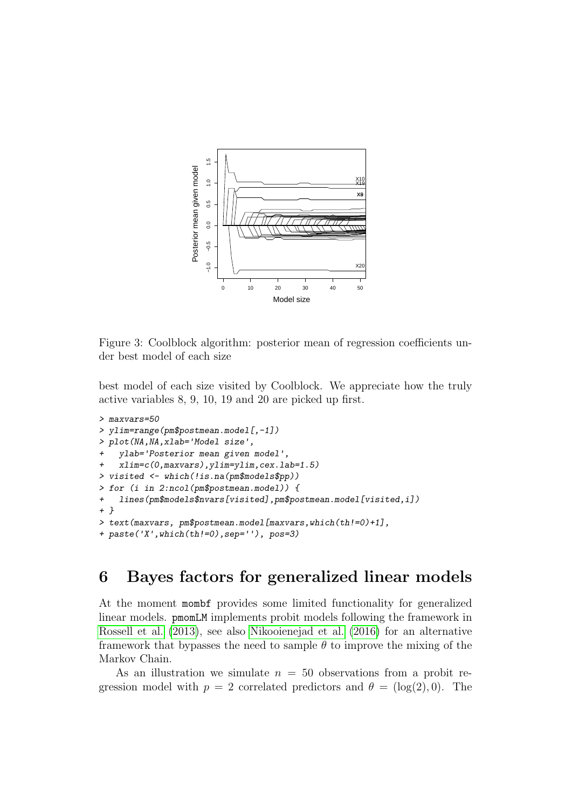

<span id="page-18-1"></span>Figure 3: Coolblock algorithm: posterior mean of regression coefficients under best model of each size

best model of each size visited by Coolblock. We appreciate how the truly active variables 8, 9, 10, 19 and 20 are picked up first.

```
> maxvars=50
> ylim=range(pm$postmean.model[,-1])
> plot(NA,NA,xlab='Model size',
   + ylab='Posterior mean given model',
   + xlim=c(0,maxvars),ylim=ylim,cex.lab=1.5)
> visited <- which(!is.na(pm$models$pp))
> for (i in 2:ncol(pm$postmean.model)) {
+ lines(pm$models$nvars[visited],pm$postmean.model[visited,i])
+ }
> text(maxvars, pm$postmean.model[maxvars,which(th!=0)+1],
+ paste('X',which(th!=0),sep=''), pos=3)
```
# <span id="page-18-0"></span>6 Bayes factors for generalized linear models

At the moment mombf provides some limited functionality for generalized linear models. pmomLM implements probit models following the framework in [Rossell et al. \(2013\)](#page-22-2), see also [Nikooienejad et al. \(2016\)](#page-22-6) for an alternative framework that bypasses the need to sample  $\theta$  to improve the mixing of the Markov Chain.

As an illustration we simulate  $n = 50$  observations from a probit regression model with  $p = 2$  correlated predictors and  $\theta = (\log(2), 0)$ . The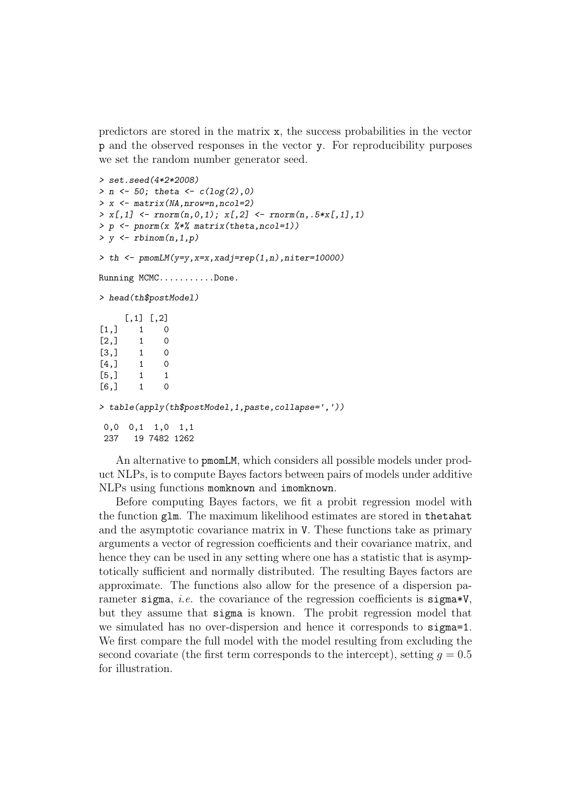predictors are stored in the matrix x, the success probabilities in the vector p and the observed responses in the vector y. For reproducibility purposes we set the random number generator seed.

```
> set.seed(4*2*2008)
> n <- 50; theta <- c(log(2), 0)> x <- matrix(NA,nrow=n,ncol=2)
> x[, 1] <- rnorm(n, 0, 1); x[, 2] <- rnorm(n, .5*x[, 1], 1)> p <- pnorm(x %*% matrix(theta,ncol=1))
> y \leftarrow r \text{binom}(n,1,p)> th < -pmomLM(y=y,x=x,xadj=rep(1,n),niter=10000)
Running MCMC...........Done.
> head(th$postModel)
      [,1] [,2]\begin{bmatrix} 1, \\ 1, \\ 1 \end{bmatrix} 1 0<br>\begin{bmatrix} 2, \\ 1, \\ 0 \end{bmatrix}\begin{bmatrix} 2, & 1 & 0 \\ 3, & 1 & 0 \end{bmatrix}[3,] 1[4, 1 \t 1 \t 0[5,] 1 1
[6,] 1 0> table(apply(th$postModel,1,paste,collapse=','))
 0,0 0,1 1,0 1,1
 237 19 7482 1262
```
An alternative to pmomLM, which considers all possible models under product NLPs, is to compute Bayes factors between pairs of models under additive NLPs using functions momknown and imomknown.

Before computing Bayes factors, we fit a probit regression model with the function glm. The maximum likelihood estimates are stored in thetahat and the asymptotic covariance matrix in V. These functions take as primary arguments a vector of regression coefficients and their covariance matrix, and hence they can be used in any setting where one has a statistic that is asymptotically sufficient and normally distributed. The resulting Bayes factors are approximate. The functions also allow for the presence of a dispersion parameter sigma, *i.e.* the covariance of the regression coefficients is sigma\*V, but they assume that sigma is known. The probit regression model that we simulated has no over-dispersion and hence it corresponds to sigma=1. We first compare the full model with the model resulting from excluding the second covariate (the first term corresponds to the intercept), setting  $q = 0.5$ for illustration.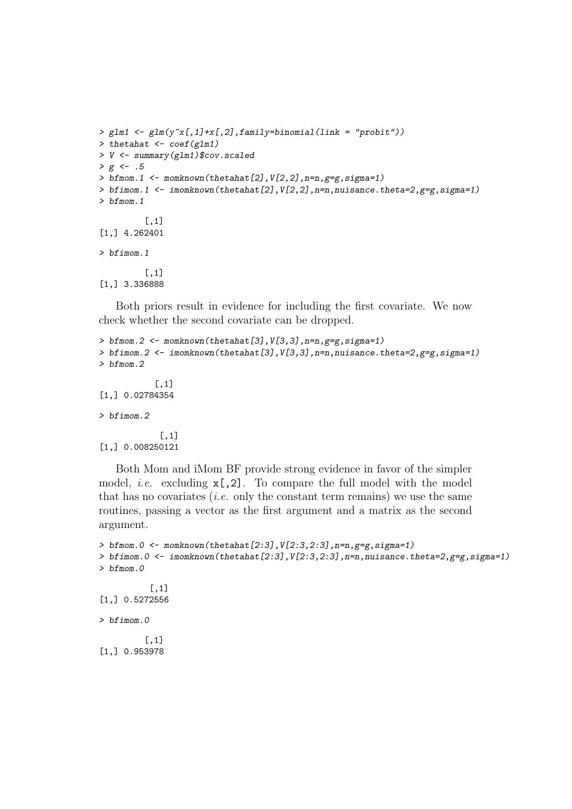```
> glm1 <- glm(y<sup>x[,1]+x[,2],family=binomial(link = "probit"))</sup>
> thetahat <- coef(glm1)
> V <- summary(glm1)$cov.scaled
> g < - .5> bfmom.1 <- momknown(thetahat[2], V[2,2], n=n, g=g, sigma=1)
> bfimom.1 <- imomknown(thetahat[2], V[2, 2], n=n, nuisance.theta=2, g=g, sigma=1)
> bfmom.1
          [,1]
[1,] 4.262401
> bfimom.1
          [,1]
[1,] 3.336888
```
Both priors result in evidence for including the first covariate. We now check whether the second covariate can be dropped.

```
> bfmom.2 <- momknown(thetahat[3],V[3,3],n=n,g=g,sigma=1)
> bfimom.2 \leq imomknown(thetahat[3], V[3,3], n=n, nuisance.theta=2, g = g, sigma=1)
> bfmom.2
           [,1]
[1,] 0.02784354
> bfimom.2
            [,1]
[1,] 0.008250121
```
Both Mom and iMom BF provide strong evidence in favor of the simpler model, *i.e.* excluding  $x$ [,2]. To compare the full model with the model that has no covariates *(i.e.* only the constant term remains) we use the same routines, passing a vector as the first argument and a matrix as the second argument.

```
> bfmom.0 <- momknown(thetahat[2:3],V[2:3,2:3],n=n,g=g,sigma=1)
> bfimom.0 <- imomknown(thetahat[2:3],V[2:3,2:3],n=n,nuisance.theta=2,g=g,sigma=1)
> bfmom.0
          [,1]
[1,] 0.5272556
> bfimom.0
         [,1]
[1,] 0.953978
```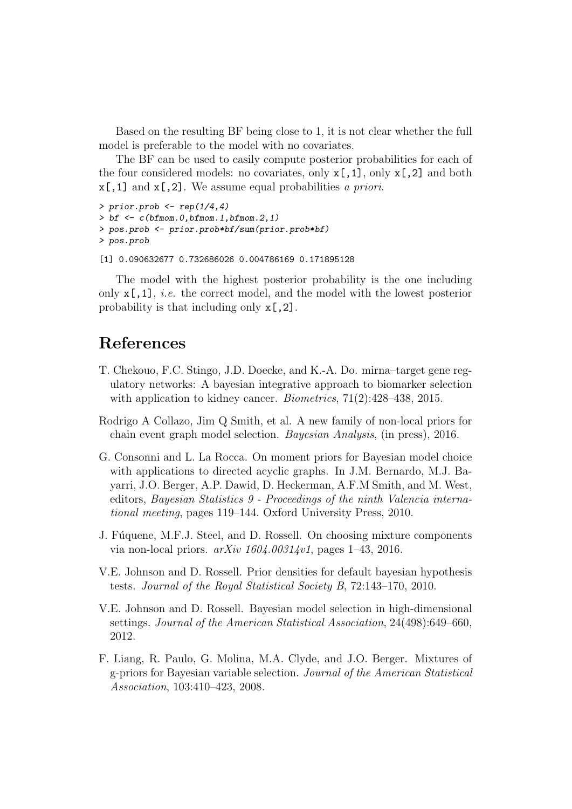Based on the resulting BF being close to 1, it is not clear whether the full model is preferable to the model with no covariates.

The BF can be used to easily compute posterior probabilities for each of the four considered models: no covariates, only  $x$ [,1], only  $x$ [,2] and both  $x[,1]$  and  $x[,2]$ . We assume equal probabilities a priori.

```
> prior.prob \leq rep(1/4,4)
> bf \leq c(bfmom.0, bfmom.1, bfmom.2,1)
> pos.prob <- prior.prob*bf/sum(prior.prob*bf)
> pos.prob
```

```
[1] 0.090632677 0.732686026 0.004786169 0.171895128
```
The model with the highest posterior probability is the one including only  $x$ [,1], *i.e.* the correct model, and the model with the lowest posterior probability is that including only x[,2].

#### References

- <span id="page-21-3"></span>T. Chekouo, F.C. Stingo, J.D. Doecke, and K.-A. Do. mirna–target gene regulatory networks: A bayesian integrative approach to biomarker selection with application to kidney cancer. *Biometrics*,  $71(2):428-438$ , 2015.
- <span id="page-21-4"></span>Rodrigo A Collazo, Jim Q Smith, et al. A new family of non-local priors for chain event graph model selection. Bayesian Analysis, (in press), 2016.
- <span id="page-21-2"></span>G. Consonni and L. La Rocca. On moment priors for Bayesian model choice with applications to directed acyclic graphs. In J.M. Bernardo, M.J. Bayarri, J.O. Berger, A.P. Dawid, D. Heckerman, A.F.M Smith, and M. West, editors, Bayesian Statistics 9 - Proceedings of the ninth Valencia international meeting, pages 119–144. Oxford University Press, 2010.
- <span id="page-21-5"></span>J. Fúquene, M.F.J. Steel, and D. Rossell. On choosing mixture components via non-local priors.  $arXiv 1604.00314vl$ , pages 1–43, 2016.
- <span id="page-21-0"></span>V.E. Johnson and D. Rossell. Prior densities for default bayesian hypothesis tests. Journal of the Royal Statistical Society B, 72:143–170, 2010.
- <span id="page-21-1"></span>V.E. Johnson and D. Rossell. Bayesian model selection in high-dimensional settings. Journal of the American Statistical Association, 24(498):649–660, 2012.
- <span id="page-21-6"></span>F. Liang, R. Paulo, G. Molina, M.A. Clyde, and J.O. Berger. Mixtures of g-priors for Bayesian variable selection. Journal of the American Statistical Association, 103:410–423, 2008.